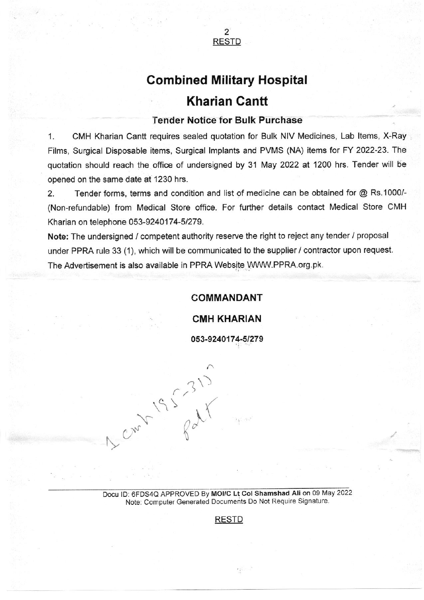

# Combined Military Hospital **Kharian Cantt**

#### Tender Notice for Bulk Purchase

1. CMH Kharian Cantt requires sealed quotation for Bulk NIV Medicines, Lab ltems, X-Ray Films, Surgical Disposable items, Surgical lmplants and PVMS (NA) items for FY 2022-23. The quotation should reach the office of undersigned by 31 May 2022 at 1200 hrs. Tender will be opened on the same date at 1230 hrs.

2. Tender forms, terms and condition and list of medicine can be obtained for @ Rs.1000/- (Non-refundable) from Medical Store office. For further details contact Medical Store CMH Kharian on telephone 053-9240174-5/279.

Note: The undersigned / competent authority reserve the right to reject any tender / proposal under PPRA rule 33 (1), which will be communicated to the supplier / contractor upon request. The Advertisement is also available in PPRA Website WWW.PPRA.org.pk.

## COMMANDANT

CMH KHARIAN

o53-9240174-51279

) 1)  $\gamma$  and  $\cup$ Q  $\sim$   $\sim$ 

Docu ID: 6FDS4Q APPROVED By MOI/C Lt Col Shamshad Ali on 09 May 2022 Note: Computer Generated Documents Do Not Require Signature

## RESTD

 $\sqrt{10}$